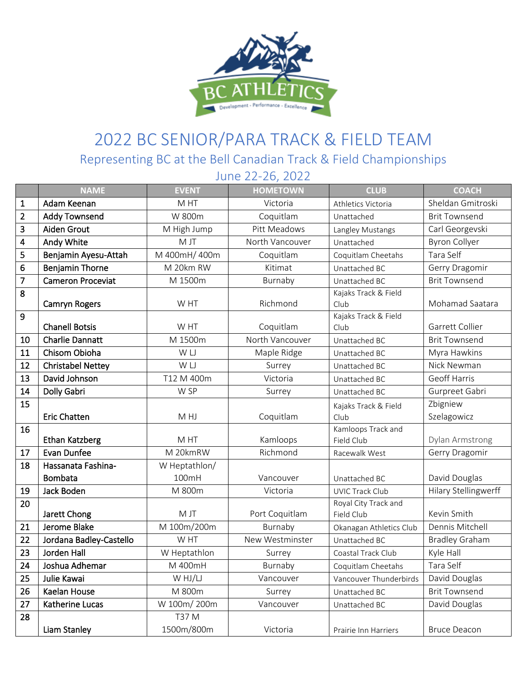

## 2022 BC SENIOR/PARA TRACK & FIELD TEAM

Representing BC at the Bell Canadian Track & Field Championships

|                         | June 22-26, 2022         |               |                 |                                    |                       |  |  |  |
|-------------------------|--------------------------|---------------|-----------------|------------------------------------|-----------------------|--|--|--|
|                         | <b>NAME</b>              | <b>EVENT</b>  | <b>HOMETOWN</b> | <b>CLUB</b>                        | <b>COACH</b>          |  |  |  |
| $\mathbf{1}$            | Adam Keenan              | M HT          | Victoria        | Athletics Victoria                 | Sheldan Gmitroski     |  |  |  |
| $\overline{\mathbf{c}}$ | <b>Addy Townsend</b>     | W 800m        | Coquitlam       | Unattached                         | <b>Brit Townsend</b>  |  |  |  |
| 3                       | Aiden Grout              | M High Jump   | Pitt Meadows    | Langley Mustangs                   | Carl Georgevski       |  |  |  |
| 4                       | Andy White               | M JT          | North Vancouver | Unattached                         | <b>Byron Collyer</b>  |  |  |  |
| 5                       | Benjamin Ayesu-Attah     | M 400mH/400m  | Coquitlam       | Coquitlam Cheetahs                 | Tara Self             |  |  |  |
| 6                       | Benjamin Thorne          | M 20km RW     | Kitimat         | Unattached BC                      | Gerry Dragomir        |  |  |  |
| $\overline{7}$          | <b>Cameron Proceviat</b> | M 1500m       | Burnaby         | Unattached BC                      | <b>Brit Townsend</b>  |  |  |  |
| 8                       | <b>Camryn Rogers</b>     | W HT          | Richmond        | Kajaks Track & Field<br>Club       | Mohamad Saatara       |  |  |  |
| 9                       | <b>Chanell Botsis</b>    | W HT          | Coquitlam       | Kajaks Track & Field<br>Club       | Garrett Collier       |  |  |  |
| 10                      | <b>Charlie Dannatt</b>   | M 1500m       | North Vancouver | Unattached BC                      | <b>Brit Townsend</b>  |  |  |  |
| 11                      | Chisom Obioha            | W LJ          | Maple Ridge     | Unattached BC                      | Myra Hawkins          |  |  |  |
| 12                      | <b>Christabel Nettey</b> | W LJ          | Surrey          | Unattached BC                      | Nick Newman           |  |  |  |
| 13                      | David Johnson            | T12 M 400m    | Victoria        | Unattached BC                      | <b>Geoff Harris</b>   |  |  |  |
| 14                      | Dolly Gabri              | W SP          | Surrey          | Unattached BC                      | Gurpreet Gabri        |  |  |  |
| 15                      |                          |               |                 | Kajaks Track & Field               | Zbigniew              |  |  |  |
|                         | <b>Eric Chatten</b>      | M HJ          | Coquitlam       | Club                               | Szelagowicz           |  |  |  |
| 16                      | <b>Ethan Katzberg</b>    | M HT          | Kamloops        | Kamloops Track and<br>Field Club   | Dylan Armstrong       |  |  |  |
| 17                      | Evan Dunfee              | M 20kmRW      | Richmond        | Racewalk West                      | Gerry Dragomir        |  |  |  |
| 18                      | Hassanata Fashina-       | W Heptathlon/ |                 |                                    |                       |  |  |  |
|                         | <b>Bombata</b>           | 100mH         | Vancouver       | Unattached BC                      | David Douglas         |  |  |  |
| 19                      | Jack Boden               | M 800m        | Victoria        | <b>UVIC Track Club</b>             | Hilary Stellingwerff  |  |  |  |
| 20                      | Jarett Chong             | M JT          | Port Coquitlam  | Royal City Track and<br>Field Club | Kevin Smith           |  |  |  |
| 21                      | Jerome Blake             | M 100m/200m   | Burnaby         | Okanagan Athletics Club            | Dennis Mitchell       |  |  |  |
| 22                      | Jordana Badley-Castello  | W HT          | New Westminster | Unattached BC                      | <b>Bradley Graham</b> |  |  |  |
| 23                      | Jorden Hall              | W Heptathlon  | Surrey          | Coastal Track Club                 | Kyle Hall             |  |  |  |
| 24                      | Joshua Adhemar           | M 400mH       | Burnaby         | Coquitlam Cheetahs                 | Tara Self             |  |  |  |
| 25                      | Julie Kawai              | W HJ/LJ       | Vancouver       | Vancouver Thunderbirds             | David Douglas         |  |  |  |
| 26                      | Kaelan House             | M 800m        | Surrey          | Unattached BC                      | <b>Brit Townsend</b>  |  |  |  |
| 27                      | Katherine Lucas          | W 100m/200m   | Vancouver       | Unattached BC                      | David Douglas         |  |  |  |
| 28                      |                          | T37 M         |                 |                                    |                       |  |  |  |
|                         | Liam Stanley             | 1500m/800m    | Victoria        | Prairie Inn Harriers               | <b>Bruce Deacon</b>   |  |  |  |